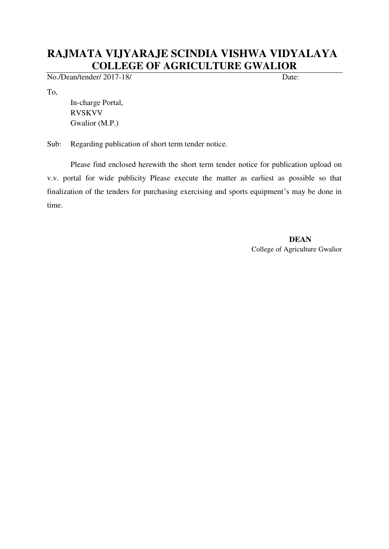## **RAJMATA VIJYARAJE SCINDIA VISHWA VIDYALAYA COLLEGE OF AGRICULTURE GWALIOR**

No./Dean/tender/ 2017-18/ Date:

To,

In-charge Portal, RVSKVV Gwalior (M.P.)

Sub: Regarding publication of short term tender notice.

 Please find enclosed herewith the short term tender notice for publication upload on v.v. portal for wide publicity Please execute the matter as earliest as possible so that finalization of the tenders for purchasing exercising and sports equipment's may be done in time.

> **DEAN**  College of Agriculture Gwalior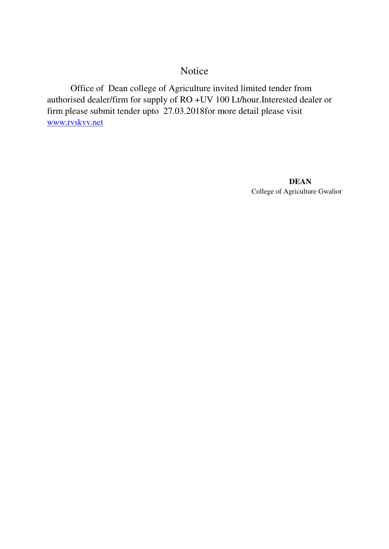## Notice

Office of Dean college of Agriculture invited limited tender from authorised dealer/firm for supply of RO +UV 100 Lt/hour.Interested dealer or firm please submit tender upto 27.03.2018for more detail please visit [www.rvskvv.net](http://www.rvskvv.net/)

> **DEAN**  College of Agriculture Gwalior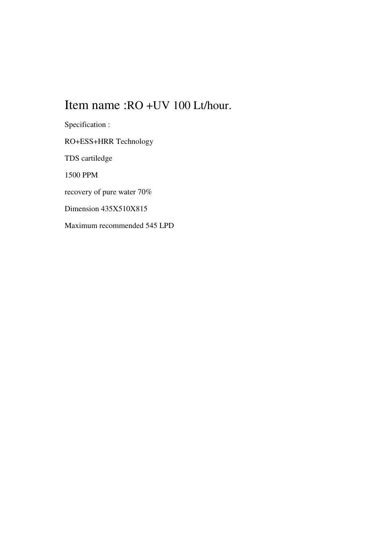## Item name :RO +UV 100 Lt/hour.

Specification : RO+ESS+HRR Technology TDS cartiledge 1500 PPM recovery of pure water 70% Dimension 435X510X815 Maximum recommended 545 LPD